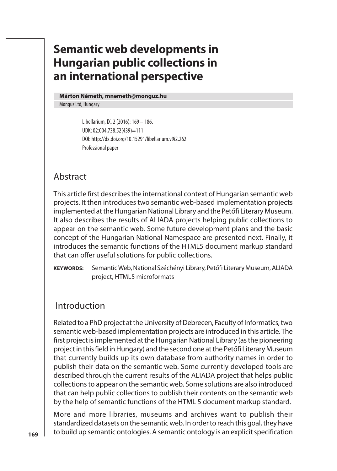# **Semantic web developments in Hungarian public collections in an international perspective**

#### **Márton Németh, mnemeth@monguz.hu**

Monguz Ltd, Hungary

Libellarium, IX, 2 (2016): 169 – 186. UDK: 02:004.738.52(439)=111 DOI: http://dx.doi.org/10.15291/libellarium.v9i2.262 Professional paper

#### Abstract

This article first describes the international context of Hungarian semantic web projects. It then introduces two semantic web-based implementation projects implemented at the Hungarian National Library and the Petőfi Literary Museum. It also describes the results of ALIADA projects helping public collections to appear on the semantic web. Some future development plans and the basic concept of the Hungarian National Namespace are presented next. Finally, it introduces the semantic functions of the HTML5 document markup standard that can offer useful solutions for public collections.

**KEYWORDS:** Semantic Web, National Széchényi Library, Petőfi Literary Museum, ALIADA project, HTML5 microformats

### Introduction

Related to a PhD project at the University of Debrecen, Faculty of Informatics, two semantic web-based implementation projects are introduced in this article. The first project is implemented at the Hungarian National Library (as the pioneering project in this field in Hungary) and the second one at the Petőfi Literary Museum that currently builds up its own database from authority names in order to publish their data on the semantic web. Some currently developed tools are described through the current results of the ALIADA project that helps public collections to appear on the semantic web. Some solutions are also introduced that can help public collections to publish their contents on the semantic web by the help of semantic functions of the HTML 5 document markup standard.

More and more libraries, museums and archives want to publish their standardized datasets on the semantic web. In order to reach this goal, they have to build up semantic ontologies. A semantic ontology is an explicit specification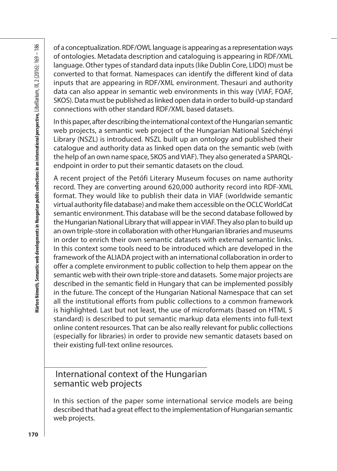of a conceptualization. RDF/OWL language is appearing as a representation ways of ontologies. Metadata description and cataloguing is appearing in RDF/XML language. Other types of standard data inputs (like Dublin Core, LIDO) must be converted to that format. Namespaces can identify the different kind of data inputs that are appearing in RDF/XML environment. Thesauri and authority data can also appear in semantic web environments in this way (VIAF, FOAF, SKOS). Data must be published as linked open data in order to build-up standard connections with other standard RDF/XML based datasets.

In this paper, after describing the international context of the Hungarian semantic web projects, a semantic web project of the Hungarian National Széchényi Library (NSZL) is introduced. NSZL built up an ontology and published their catalogue and authority data as linked open data on the semantic web (with the help of an own name space, SKOS and VIAF). They also generated a SPARQLendpoint in order to put their semantic datasets on the cloud.

98<br>
of contrologies. Metadata description and cataloguing is appearing in RDF/XML<br>
is of ortologies. Metadata description and cataloguing is appearing in RDF/XML<br>
Longwogs. Other types of standard data inputs (like Dubin A recent project of the Petőfi Literary Museum focuses on name authority record. They are converting around 620,000 authority record into RDF-XML format. They would like to publish their data in VIAF (worldwide semantic virtual authority file database) and make them accessible on the OCLC WorldCat semantic environment. This database will be the second database followed by the Hungarian National Library that will appear in VIAF. They also plan to build up an own triple-store in collaboration with other Hungarian libraries and museums in order to enrich their own semantic datasets with external semantic links. In this context some tools need to be introduced which are developed in the framework of the ALIADA project with an international collaboration in order to offer a complete environment to public collection to help them appear on the semantic web with their own triple-store and datasets. Some major projects are described in the semantic field in Hungary that can be implemented possibly in the future. The concept of the Hungarian National Namespace that can set all the institutional efforts from public collections to a common framework is highlighted. Last but not least, the use of microformats (based on HTML 5 standard) is described to put semantic markup data elements into full-text online content resources. That can be also really relevant for public collections (especially for libraries) in order to provide new semantic datasets based on their existing full-text online resources.

### International context of the Hungarian semantic web projects

In this section of the paper some international service models are being described that had a great effect to the implementation of Hungarian semantic web projects.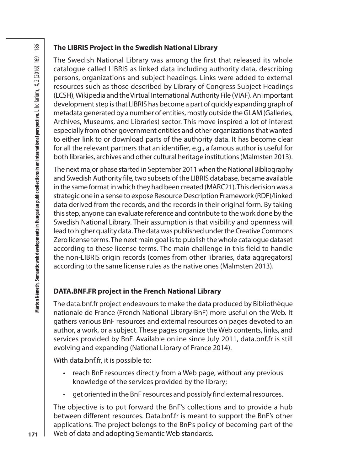#### **The LIBRIS Project in the Swedish National Library**

The Swedish National Library was among the first that released its whole catalogue called LIBRIS as linked data including authority data, describing persons, organizations and subject headings. Links were added to external resources such as those described by Library of Congress Subject Headings (LCSH), Wikipedia and the Virtual International Authority File (VIAF). An important development step is that LIBRIS has become a part of quickly expanding graph of metadata generated by a number of entities, mostly outside the GLAM (Galleries, Archives, Museums, and Libraries) sector. This move inspired a lot of interest especially from other government entities and other organizations that wanted to either link to or download parts of the authority data. It has become clear for all the relevant partners that an identifier, e.g., a famous author is useful for both libraries, archives and other cultural heritage institutions (Malmsten 2013).

The next major phase started in September 2011 when the National Bibliography and Swedish Authority file, two subsets of the LIBRIS database, became available in the same format in which they had been created (MARC21). This decision was a strategic one in a sense to expose Resource Description Framework (RDF)/linked data derived from the records, and the records in their original form. By taking this step, anyone can evaluate reference and contribute to the work done by the Swedish National Library. Their assumption is that visibility and openness will lead to higher quality data. The data was published under the Creative Commons Zero license terms. The next main goal is to publish the whole catalogue dataset according to these license terms. The main challenge in this field to handle the non-LIBRIS origin records (comes from other libraries, data aggregators) according to the same license rules as the native ones (Malmsten 2013).

### **DATA.BNF.FR project in the French National Library**

The data.bnf.fr project endeavours to make the data produced by Bibliothèque nationale de France (French National Library-BnF) more useful on the Web. It gathers various BnF resources and external resources on pages devoted to an author, a work, or a subject. These pages organize the Web contents, links, and services provided by BnF. Available online since July 2011, data.bnf.fr is still evolving and expanding (National Library of France 2014).

With data.bnf.fr, it is possible to:

- reach BnF resources directly from a Web page, without any previous knowledge of the services provided by the library;
- get oriented in the BnF resources and possibly find external resources.

The objective is to put forward the BnF's collections and to provide a hub between different resources. Data.bnf.fr is meant to support the BnF's other applications. The project belongs to the BnF's policy of becoming part of the Web of data and adopting Semantic Web standards.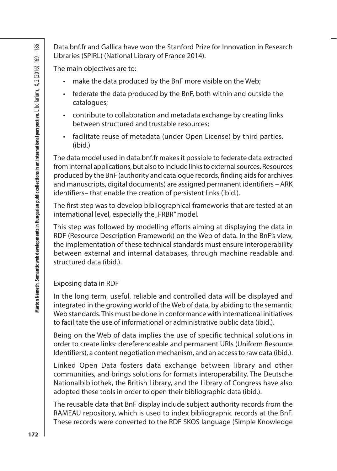Data.bnf.fr and Gallica have won the Stanford Prize for Innovation in Research Libraries (SPIRL) (National Library of France 2014).

The main objectives are to:

- make the data produced by the BnF more visible on the Web;
- federate the data produced by the BnF, both within and outside the catalogues;
- contribute to collaboration and metadata exchange by creating links between structured and trustable resources;
- facilitate reuse of metadata (under Open License) by third parties. (ibid.)

Batabathr and Galilica have won the Stanford Prize for linnoids in the same the data production in Research<br>
is thorations (SPRI) (National Library of France 2014).<br>
The main objectives are to:<br>
colled exact the data produ The data model used in data.bnf.fr makes it possible to federate data extracted from internal applications, but also to include links to external sources. Resources produced by the BnF (authority and catalogue records, finding aids for archives and manuscripts, digital documents) are assigned permanent identifiers – ARK identifiers– that enable the creation of persistent links (ibid.).

The first step was to develop bibliographical frameworks that are tested at an international level, especially the "FRBR" model.

This step was followed by modelling efforts aiming at displaying the data in RDF (Resource Description Framework) on the Web of data. In the BnF's view, the implementation of these technical standards must ensure interoperability between external and internal databases, through machine readable and structured data (ibid.).

#### Exposing data in RDF

In the long term, useful, reliable and controlled data will be displayed and integrated in the growing world of the Web of data, by abiding to the semantic Web standards. This must be done in conformance with international initiatives to facilitate the use of informational or administrative public data (ibid.).

Being on the Web of data implies the use of specific technical solutions in order to create links: dereferenceable and permanent URIs (Uniform Resource Identifiers), a content negotiation mechanism, and an access to raw data (ibid.).

Linked Open Data fosters data exchange between library and other communities, and brings solutions for formats interoperability. The Deutsche Nationalbibliothek, the British Library, and the Library of Congress have also adopted these tools in order to open their bibliographic data (ibid.).

The reusable data that BnF display include subject authority records from the RAMEAU repository, which is used to index bibliographic records at the BnF. These records were converted to the RDF SKOS language (Simple Knowledge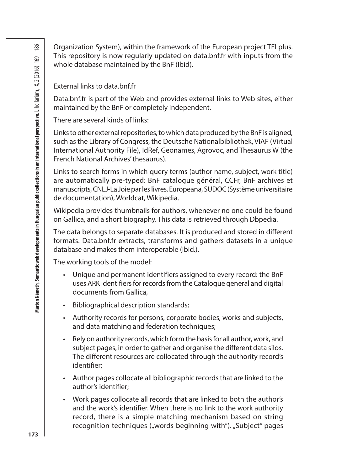Organization System), within the framework of the European project TELplus. This repository is now regularly updated on data.bnf.fr with inputs from the whole database maintained by the BnF (Ibid).

External links to data.bnf.fr

Data.bnf.fr is part of the Web and provides external links to Web sites, either maintained by the BnF or completely independent.

There are several kinds of links:

Links to other external repositories, to which data produced by the BnF is aligned, such as the Library of Congress, the Deutsche Nationalbibliothek, VIAF (Virtual International Authority File), IdRef, Geonames, Agrovoc, and Thesaurus W (the French National Archives' thesaurus).

Links to search forms in which query terms (author name, subject, work title) are automatically pre-typed: BnF catalogue général, CCFr, BnF archives et manuscripts, CNLJ-La Joie par les livres, Europeana, SUDOC (Système universitaire de documentation), Worldcat, Wikipedia.

Wikipedia provides thumbnails for authors, whenever no one could be found on Gallica, and a short biography. This data is retrieved through Dbpedia.

The data belongs to separate databases. It is produced and stored in different formats. Data.bnf.fr extracts, transforms and gathers datasets in a unique database and makes them interoperable (ibid.).

The working tools of the model:

- Unique and permanent identifiers assigned to every record: the BnF uses ARK identifiers for records from the Catalogue general and digital documents from Gallica,
- Bibliographical description standards;
- Authority records for persons, corporate bodies, works and subjects, and data matching and federation techniques;
- Rely on authority records, which form the basis for all author, work, and subject pages, in order to gather and organise the different data silos. The different resources are collocated through the authority record's identifier;
- Author pages collocate all bibliographic records that are linked to the author's identifier;
- Work pages collocate all records that are linked to both the author's and the work's identifier. When there is no link to the work authority record, there is a simple matching mechanism based on string recognition techniques ("words beginning with"). "Subject" pages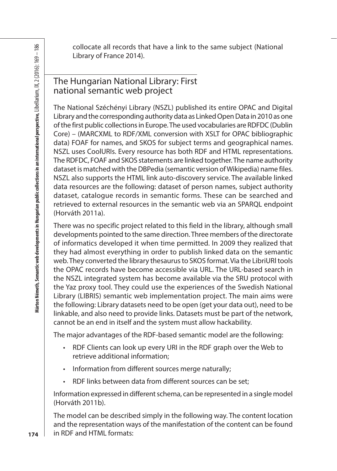collocate all records that have a link to the same subject (National Library of France 2014).

### The Hungarian National Library: First national semantic web project

s<br>
so clock are line to the same subject (National line of the same subject (National line of France 2014).<br>
The Humgarian National Library: First<br>
The Humgarian National Library: First<br>
The Humgarian National Library: Fi The National Széchényi Library (NSZL) published its entire OPAC and Digital Library and the corresponding authority data as Linked Open Data in 2010 as one of the first public collections in Europe. The used vocabularies are RDFDC (Dublin Core) – (MARCXML to RDF/XML conversion with XSLT for OPAC bibliographic data) FOAF for names, and SKOS for subject terms and geographical names. NSZL uses CoolURIs. Every resource has both RDF and HTML representations. The RDFDC, FOAF and SKOS statements are linked together. The name authority dataset is matched with the DBPedia (semantic version of Wikipedia) name files. NSZL also supports the HTML link auto-discovery service. The available linked data resources are the following: dataset of person names, subject authority dataset, catalogue records in semantic forms. These can be searched and retrieved to external resources in the semantic web via an SPARQL endpoint (Horváth 2011a).

There was no specific project related to this field in the library, although small developments pointed to the same direction. Three members of the directorate of informatics developed it when time permitted. In 2009 they realized that they had almost everything in order to publish linked data on the semantic web. They converted the library thesaurus to SKOS format. Via the LibriURl tools the OPAC records have become accessible via URL. The URL-based search in the NSZL integrated system has become available via the SRU protocol with the Yaz proxy tool. They could use the experiences of the Swedish National Library (LIBRIS) semantic web implementation project. The main aims were the following: Library datasets need to be open (get your data out), need to be linkable, and also need to provide links. Datasets must be part of the network, cannot be an end in itself and the system must allow hackability.

The major advantages of the RDF-based semantic model are the following:

- RDF Clients can look up every URI in the RDF graph over the Web to retrieve additional information;
- Information from different sources merge naturally;
- RDF links between data from different sources can be set;

Information expressed in different schema, can be represented in a single model (Horváth 2011b).

The model can be described simply in the following way. The content location and the representation ways of the manifestation of the content can be found in RDF and HTML formats: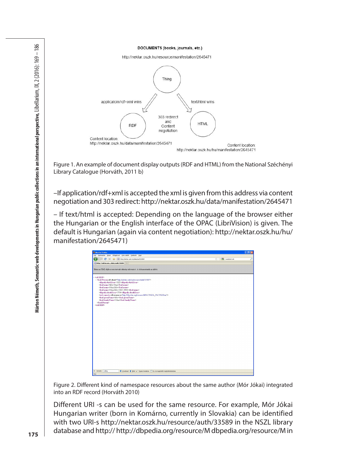DOCUMENTS (books, journals, etc.)



Figure 1. An example of document display outputs (RDF and HTML) from the National Széchényi Library Catalogue (Horváth, 2011 b)

–If application/rdf+xml is accepted the xml is given from this address via content negotiation and 303 redirect: http://nektar.oszk.hu/data/manifestation/2645471

– If text/html is accepted: Depending on the language of the browser either the Hungarian or the English interface of the OPAC (LibriVision) is given. The default is Hungarian (again via content negotiation): http://nektar.oszk.hu/hu/ manifestation/2645471)

| C X & B Hip (the for and Ju/data/auth/20589)<br>$\bigcirc$ - $\bigcirc$ - weeked with<br>r c<br>$\rightarrow$<br>http://nektar.osz/data/auth/33589 +<br>Ethez az XML-fájlhoz nem tartozik stíludap-információ. A dokumentumfa az alábbi.<br>$-$ <rdf:rdf><br/>- <foaf:person rdf:about="http://nektar.ozgk.hu/resource/auth/33589"><br/><dbpedia:birthyear>1825</dbpedia:birthyear><br/><foaf:name>Mór Jóka-/foaf:name&gt;<br/><foaf:name>Jókai Mór</foaf:name><br/><foaf:name>Jókai Mór (1825-1904)</foaf:name><br/><dbpedia:deathyear>1904</dbpedia:deathyear><br/>&lt;oul:sameAs rdf:resource="http://dbpedia.org/resource/hf/6C3%B3r_P6C3%B3kia'/&gt;<br/><foaf: givenname="">Mór</foaf:><br/><foaf:familyname>Jókai</foaf:familyname><br/><br/></foaf:name></foaf:person></rdf:rdf> |  |
|------------------------------------------------------------------------------------------------------------------------------------------------------------------------------------------------------------------------------------------------------------------------------------------------------------------------------------------------------------------------------------------------------------------------------------------------------------------------------------------------------------------------------------------------------------------------------------------------------------------------------------------------------------------------------------------------------------------------------------------------------------------------------------------|--|
|                                                                                                                                                                                                                                                                                                                                                                                                                                                                                                                                                                                                                                                                                                                                                                                          |  |
|                                                                                                                                                                                                                                                                                                                                                                                                                                                                                                                                                                                                                                                                                                                                                                                          |  |
|                                                                                                                                                                                                                                                                                                                                                                                                                                                                                                                                                                                                                                                                                                                                                                                          |  |
|                                                                                                                                                                                                                                                                                                                                                                                                                                                                                                                                                                                                                                                                                                                                                                                          |  |
|                                                                                                                                                                                                                                                                                                                                                                                                                                                                                                                                                                                                                                                                                                                                                                                          |  |
|                                                                                                                                                                                                                                                                                                                                                                                                                                                                                                                                                                                                                                                                                                                                                                                          |  |
|                                                                                                                                                                                                                                                                                                                                                                                                                                                                                                                                                                                                                                                                                                                                                                                          |  |
|                                                                                                                                                                                                                                                                                                                                                                                                                                                                                                                                                                                                                                                                                                                                                                                          |  |
|                                                                                                                                                                                                                                                                                                                                                                                                                                                                                                                                                                                                                                                                                                                                                                                          |  |
|                                                                                                                                                                                                                                                                                                                                                                                                                                                                                                                                                                                                                                                                                                                                                                                          |  |
|                                                                                                                                                                                                                                                                                                                                                                                                                                                                                                                                                                                                                                                                                                                                                                                          |  |
|                                                                                                                                                                                                                                                                                                                                                                                                                                                                                                                                                                                                                                                                                                                                                                                          |  |
|                                                                                                                                                                                                                                                                                                                                                                                                                                                                                                                                                                                                                                                                                                                                                                                          |  |
|                                                                                                                                                                                                                                                                                                                                                                                                                                                                                                                                                                                                                                                                                                                                                                                          |  |
|                                                                                                                                                                                                                                                                                                                                                                                                                                                                                                                                                                                                                                                                                                                                                                                          |  |
|                                                                                                                                                                                                                                                                                                                                                                                                                                                                                                                                                                                                                                                                                                                                                                                          |  |
|                                                                                                                                                                                                                                                                                                                                                                                                                                                                                                                                                                                                                                                                                                                                                                                          |  |
|                                                                                                                                                                                                                                                                                                                                                                                                                                                                                                                                                                                                                                                                                                                                                                                          |  |
|                                                                                                                                                                                                                                                                                                                                                                                                                                                                                                                                                                                                                                                                                                                                                                                          |  |
|                                                                                                                                                                                                                                                                                                                                                                                                                                                                                                                                                                                                                                                                                                                                                                                          |  |
|                                                                                                                                                                                                                                                                                                                                                                                                                                                                                                                                                                                                                                                                                                                                                                                          |  |
|                                                                                                                                                                                                                                                                                                                                                                                                                                                                                                                                                                                                                                                                                                                                                                                          |  |
|                                                                                                                                                                                                                                                                                                                                                                                                                                                                                                                                                                                                                                                                                                                                                                                          |  |
|                                                                                                                                                                                                                                                                                                                                                                                                                                                                                                                                                                                                                                                                                                                                                                                          |  |
|                                                                                                                                                                                                                                                                                                                                                                                                                                                                                                                                                                                                                                                                                                                                                                                          |  |
|                                                                                                                                                                                                                                                                                                                                                                                                                                                                                                                                                                                                                                                                                                                                                                                          |  |
|                                                                                                                                                                                                                                                                                                                                                                                                                                                                                                                                                                                                                                                                                                                                                                                          |  |
|                                                                                                                                                                                                                                                                                                                                                                                                                                                                                                                                                                                                                                                                                                                                                                                          |  |
|                                                                                                                                                                                                                                                                                                                                                                                                                                                                                                                                                                                                                                                                                                                                                                                          |  |
|                                                                                                                                                                                                                                                                                                                                                                                                                                                                                                                                                                                                                                                                                                                                                                                          |  |
|                                                                                                                                                                                                                                                                                                                                                                                                                                                                                                                                                                                                                                                                                                                                                                                          |  |
|                                                                                                                                                                                                                                                                                                                                                                                                                                                                                                                                                                                                                                                                                                                                                                                          |  |
|                                                                                                                                                                                                                                                                                                                                                                                                                                                                                                                                                                                                                                                                                                                                                                                          |  |
|                                                                                                                                                                                                                                                                                                                                                                                                                                                                                                                                                                                                                                                                                                                                                                                          |  |
|                                                                                                                                                                                                                                                                                                                                                                                                                                                                                                                                                                                                                                                                                                                                                                                          |  |
|                                                                                                                                                                                                                                                                                                                                                                                                                                                                                                                                                                                                                                                                                                                                                                                          |  |
|                                                                                                                                                                                                                                                                                                                                                                                                                                                                                                                                                                                                                                                                                                                                                                                          |  |
|                                                                                                                                                                                                                                                                                                                                                                                                                                                                                                                                                                                                                                                                                                                                                                                          |  |
| ● Következő ◆ Előző √ Összes kemelése □ Kis- és nagybetűk megkülönböztetése<br>X Keresësi roding                                                                                                                                                                                                                                                                                                                                                                                                                                                                                                                                                                                                                                                                                         |  |

Figure 2. Different kind of namespace resources about the same author (Mór Jókai) integrated into an RDF record (Horváth 2010)

Different URI -s can be used for the same resource. For example, Mór Jókai Hungarian writer (born in Komárno, currently in Slovakia) can be identified with two URI-s http://nektar.oszk.hu/resource/auth/33589 in the NSZL library database and http:// http://dbpedia.org/resource/M dbpedia.org/resource/M in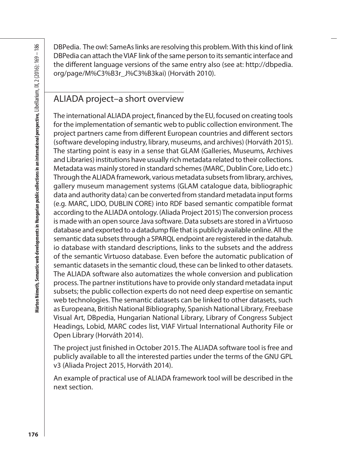DBPedia. The owl: SameAs links are resolving this problem. With this kind of link DBPedia can attach the VIAF link of the same person to its semantic interface and the different language versions of the same entry also (see at: http://dbpedia. org/page/M%C3%B3r\_J%C3%B3kai) (Horváth 2010).

#### ALIADA project–a short overview

98<br>
Anorealistics. The convisionness can establish a cone estimated in the DAF minit of the Simpletic and the UAF in intervals are person to its semantic interface and<br>
or graps (MMG) and the UAF intervals and the unit of The international ALIADA project, financed by the EU, focused on creating tools for the implementation of semantic web to public collection environment. The project partners came from different European countries and different sectors (software developing industry, library, museums, and archives) (Horváth 2015). The starting point is easy in a sense that GLAM (Galleries, Museums, Archives and Libraries) institutions have usually rich metadata related to their collections. Metadata was mainly stored in standard schemes (MARC, Dublin Core, Lido etc.) Through the ALIADA framework, various metadata subsets from library, archives, gallery museum management systems (GLAM catalogue data, bibliographic data and authority data) can be converted from standard metadata input forms (e.g. MARC, LIDO, DUBLIN CORE) into RDF based semantic compatible format according to the ALIADA ontology. (Aliada Project 2015) The conversion process is made with an open source Java software. Data subsets are stored in a Virtuoso database and exported to a datadump file that is publicly available online. All the semantic data subsets through a SPARQL endpoint are registered in the datahub. io database with standard descriptions, links to the subsets and the address of the semantic Virtuoso database. Even before the automatic publication of semantic datasets in the semantic cloud, these can be linked to other datasets. The ALIADA software also automatizes the whole conversion and publication process. The partner institutions have to provide only standard metadata input subsets; the public collection experts do not need deep expertise on semantic web technologies. The semantic datasets can be linked to other datasets, such as Europeana, British National Bibliography, Spanish National Library, Freebase Visual Art, DBpedia, Hungarian National Library, Library of Congress Subject Headings, Lobid, MARC codes list, VIAF Virtual International Authority File or Open Library (Horváth 2014).

The project just finished in October 2015. The ALIADA software tool is free and publicly available to all the interested parties under the terms of the GNU GPL v3 (Aliada Project 2015, Horváth 2014).

An example of practical use of ALIADA framework tool will be described in the next section.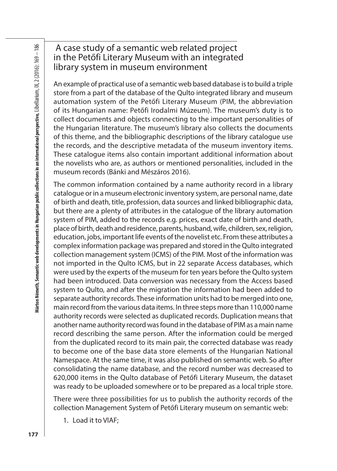## A case study of a semantic web related project in the Petőfi Literary Museum with an integrated library system in museum environment

An example of practical use of a semantic web based database is to build a triple store from a part of the database of the Qulto integrated library and museum automation system of the Petőfi Literary Museum (PIM, the abbreviation of its Hungarian name: Petőfi Irodalmi Múzeum). The museum's duty is to collect documents and objects connecting to the important personalities of the Hungarian literature. The museum's library also collects the documents of this theme, and the bibliographic descriptions of the library catalogue use the records, and the descriptive metadata of the museum inventory items. These catalogue items also contain important additional information about the novelists who are, as authors or mentioned personalities, included in the museum records (Bánki and Mészáros 2016).

The common information contained by a name authority record in a library catalogue or in a museum electronic inventory system, are personal name, date of birth and death, title, profession, data sources and linked bibliographic data, but there are a plenty of attributes in the catalogue of the library automation system of PIM, added to the records e.g. prices, exact date of birth and death, place of birth, death and residence, parents, husband, wife, children, sex, religion, education, jobs, important life events of the novelist etc. From these attributes a complex information package was prepared and stored in the Qulto integrated collection management system (ICMS) of the PIM. Most of the information was not imported in the Qulto ICMS, but in 22 separate Access databases, which were used by the experts of the museum for ten years before the Qulto system had been introduced. Data conversion was necessary from the Access based system to Qulto, and after the migration the information had been added to separate authority records. These information units had to be merged into one, main record from the various data items. In three steps more than 110,000 name authority records were selected as duplicated records. Duplication means that another name authority record was found in the database of PIM as a main name record describing the same person. After the information could be merged from the duplicated record to its main pair, the corrected database was ready to become one of the base data store elements of the Hungarian National Namespace. At the same time, it was also published on semantic web. So after consolidating the name database, and the record number was decreased to 620,000 items in the Qulto database of Petőfi Literary Museum, the dataset was ready to be uploaded somewhere or to be prepared as a local triple store.

There were three possibilities for us to publish the authority records of the collection Management System of Petőfi Literary museum on semantic web:

1. Load it to VIAF;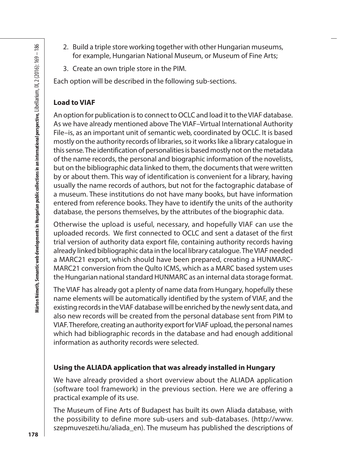- 2. Build a triple store working together with other Hungarian museums, for example, Hungarian National Museum, or Museum of Fine Arts;
- 3. Create an own triple store in the PIM.

Each option will be described in the following sub-sections.

#### **Load to VIAF**

9.<br>
So Evalid at ripte store working together with other Hungarian massums,<br>
so for example, Hungarian National Museum, or Museum of Fine Arts,<br>
so for example, Hungarian National Museum, or Museum of Fine Arts,<br>
3. Creat An option for publication is to connect to OCLC and load it to the VIAF database. As we have already mentioned above The VIAF–Virtual International Authority File–is, as an important unit of semantic web, coordinated by OCLC. It is based mostly on the authority records of libraries, so it works like a library catalogue in this sense. The identification of personalities is based mostly not on the metadata of the name records, the personal and biographic information of the novelists, but on the bibliographic data linked to them, the documents that were written by or about them. This way of identification is convenient for a library, having usually the name records of authors, but not for the factographic database of a museum. These institutions do not have many books, but have information entered from reference books. They have to identify the units of the authority database, the persons themselves, by the attributes of the biographic data.

Otherwise the upload is useful, necessary, and hopefully VIAF can use the uploaded records. We first connected to OCLC and sent a dataset of the first trial version of authority data export file, containing authority records having already linked bibliographic data in the local library catalogue. The VIAF needed a MARC21 export, which should have been prepared, creating a HUNMARC-MARC21 conversion from the Qulto ICMS, which as a MARC based system uses the Hungarian national standard HUNMARC as an internal data storage format.

The VIAF has already got a plenty of name data from Hungary, hopefully these name elements will be automatically identified by the system of VIAF, and the existing records in the VIAF database will be enriched by the newly sent data, and also new records will be created from the personal database sent from PIM to VIAF. Therefore, creating an authority export for VIAF upload, the personal names which had bibliographic records in the database and had enough additional information as authority records were selected.

#### **Using the ALIADA application that was already installed in Hungary**

We have already provided a short overview about the ALIADA application (software tool framework) in the previous section. Here we are offering a practical example of its use.

The Museum of Fine Arts of Budapest has built its own Aliada database, with the possibility to define more sub-users and sub-databases. (http://www. szepmuveszeti.hu/aliada\_en). The museum has published the descriptions of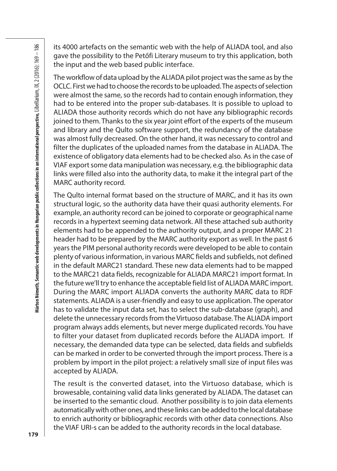its 4000 artefacts on the semantic web with the help of ALIADA tool, and also gave the possibility to the Petőfi Literary museum to try this application, both the input and the web based public interface.

The workflow of data upload by the ALIADA pilot project was the same as by the OCLC. First we had to choose the records to be uploaded. The aspects of selection were almost the same, so the records had to contain enough information, they had to be entered into the proper sub-databases. It is possible to upload to ALIADA those authority records which do not have any bibliographic records joined to them. Thanks to the six year joint effort of the experts of the museum and library and the Qulto software support, the redundancy of the database was almost fully decreased. On the other hand, it was necessary to control and filter the duplicates of the uploaded names from the database in ALIADA. The existence of obligatory data elements had to be checked also. As in the case of VIAF export some data manipulation was necessary, e.g. the bibliographic data links were filled also into the authority data, to make it the integral part of the MARC authority record.

The Qulto internal format based on the structure of MARC, and it has its own structural logic, so the authority data have their quasi authority elements. For example, an authority record can be joined to corporate or geographical name records in a hypertext seeming data network. All these attached sub authority elements had to be appended to the authority output, and a proper MARC 21 header had to be prepared by the MARC authority export as well. In the past 6 years the PIM personal authority records were developed to be able to contain plenty of various information, in various MARC fields and subfields, not defined in the default MARC21 standard. These new data elements had to be mapped to the MARC21 data fields, recognizable for ALIADA MARC21 import format. In the future we'll try to enhance the acceptable field list of ALIADA MARC import. During the MARC import ALIADA converts the authority MARC data to RDF statements. ALIADA is a user-friendly and easy to use application. The operator has to validate the input data set, has to select the sub-database (graph), and delete the unnecessary records from the Virtuoso database. The ALIADA import program always adds elements, but never merge duplicated records. You have to filter your dataset from duplicated records before the ALIADA import. If necessary, the demanded data type can be selected, data fields and subfields can be marked in order to be converted through the import process. There is a problem by import in the pilot project: a relatively small size of input files was accepted by ALIADA.

The result is the converted dataset, into the Virtuoso database, which is browesable, containing valid data links generated by ALIADA. The dataset can be inserted to the semantic cloud. Another possibility is to join data elements automatically with other ones, and these links can be added to the local database to enrich authority or bibliographic records with other data connections. Also the VIAF URI-s can be added to the authority records in the local database.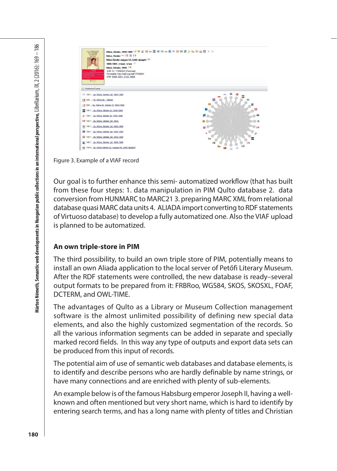

Figure 3. Example of a VIAF record

Our goal is to further enhance this semi- automatized workflow (that has built from these four steps: 1. data manipulation in PIM Qulto database 2. data conversion from HUNMARC to MARC21 3. preparing MARC XML from relational database quasi MARC data units 4. ALIADA import converting to RDF statements of Virtuoso database) to develop a fully automatized one. Also the VIAF upload is planned to be automatized.

#### **An own triple-store in PIM**

The third possibility, to build an own triple store of PIM, potentially means to install an own Aliada application to the local server of Petőfi Literary Museum. After the RDF statements were controlled, the new database is ready–several output formats to be prepared from it: FRBRoo, WGS84, SKOS, SKOSXL, FOAF, DCTERM, and OWL-TIME.

The advantages of Qulto as a Library or Museum Collection management software is the almost unlimited possibility of defining new special data elements, and also the highly customized segmentation of the records. So all the various information segments can be added in separate and specially marked record fields. In this way any type of outputs and export data sets can be produced from this input of records.

The potential aim of use of semantic web databases and database elements, is to identify and describe persons who are hardly definable by name strings, or have many connections and are enriched with plenty of sub-elements.

An example below is of the famous Habsburg emperor Joseph II, having a wellknown and often mentioned but very short name, which is hard to identify by entering search terms, and has a long name with plenty of titles and Christian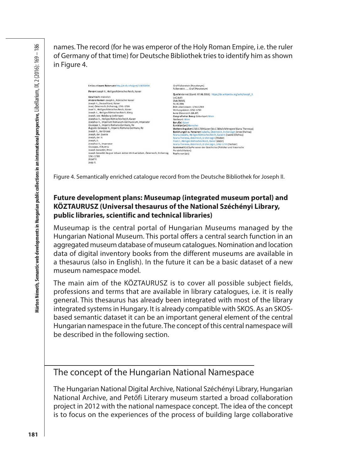names. The record (for he was emperor of the Holy Roman Empire, i.e. the ruler of Germany of that time) for Deutsche Bibliothek tries to identify him as shown in Figure 4.

| Link zu diesem Datensatz http://d-nb.info/gnd/118558404                  | Graf Falkenstein (Pseudonym)<br>Fallen stein, , Graf (Pseudonym)             |
|--------------------------------------------------------------------------|------------------------------------------------------------------------------|
| Person Joseph II., Heiliges Römisches Reich, Kaiser                      |                                                                              |
|                                                                          | QuelleInternet (Stand: 07.08.2014): https://de.wikipedia.org/wiki/Joseph II. |
| Geschlecht männlich                                                      | LoC Auth                                                                     |
| Andere Namen Joseph II., Römischer Kaiser                                | DbA (WBIS)                                                                   |
| Joseph II., Deutschland, Kaiser                                          | M: B1986                                                                     |
| Josef, Österreich, Erzherzog, 1741-1790                                  | Zelt Lebensdaten: 1741-1790                                                  |
| Josef II., Heiliges Römisches Reich, Kaiser                              | Wirkungsdaten: 1765-1790                                                     |
| Joseph II., Heiliges Römisches Reich, König                              | Land Österreich (XA-AT)                                                      |
| Joseph, von Habsburg-Lothringen                                          | Geografischer Bezug Geburtsort: Wien                                         |
| Josephus II., Heiliges Römisches Reich, Kaiser                           | Sterbeart: Wien                                                              |
| Josephus II., Imperium Romanum-Germanicum, Imperator                     | Beruffel Kaiser                                                              |
| Giuseppe II., Imperio Romano-Germano, Re-                                | <b>Funktion(en) Herrscher</b>                                                |
| Augusto Guiseppe II., Imperio Romano-Germano, Re-                        | Weltere Angaben1765-1790 Kaiser (bis 1780 als Mitregent Maria Theresias)     |
| Joseph II., der Grosse                                                   | Beziehungen zu Personen Isabella, Österreich, Erzherzogin (erste Ehefrau).   |
| Joseph, der Zweite                                                       | Maria Josepha, Heiliges Römisches Reich, Kaiserin (zweite Ehefrau)           |
| Joseph, der II.                                                          | Maria Theresia, Osterreich, Erzherzogin (Mutter)                             |
| Joseph, IL                                                               | Franz L. Heiliges Römisches Reich, Kaiser (Vater)                            |
| Josephus II., Imperator                                                  | Maria Theresia, Österreich, Erzherzogin, 1762-1770 (Tochter)                 |
| Giuseppe, d'Austria                                                      | Systematik16.5p Personen der Geschichte (Politiker und historische           |
| Joseph Benedikt, Prinz                                                   | Persönlichkeiten)                                                            |
| Joseph Benedikt August Johann Anton Michael Adam, Österreich, Erzherzog, | TypPerson (piz)                                                              |
| 1741-1790                                                                |                                                                              |
| 162sef II.                                                               |                                                                              |
| Josip II.                                                                |                                                                              |

Figure 4. Semantically enriched catalogue record from the Deutsche Bibliothek for Joseph II.

#### **Future development plans: Museumap (integrated museum portal) and KÖZTAURUSZ (Universal thesaurus of the National Széchényi Library, public libraries, scientific and technical libraries)**

Museumap is the central portal of Hungarian Museums managed by the Hungarian National Museum. This portal offers a central search function in an aggregated museum database of museum catalogues. Nomination and location data of digital inventory books from the different museums are available in a thesaurus (also in English). In the future it can be a basic dataset of a new museum namespace model.

The main aim of the KÖZTAURUSZ is to cover all possible subject fields, professions and terms that are available in library catalogues, i.e. it is really general. This thesaurus has already been integrated with most of the library integrated systems in Hungary. It is already compatible with SKOS. As an SKOSbased semantic dataset it can be an important general element of the central Hungarian namespace in the future. The concept of this central namespace will be described in the following section.

#### The concept of the Hungarian National Namespace

The Hungarian National Digital Archive, National Széchényi Library, Hungarian National Archive, and Petőfi Literary museum started a broad collaboration project in 2012 with the national namespace concept. The idea of the concept is to focus on the experiences of the process of building large collaborative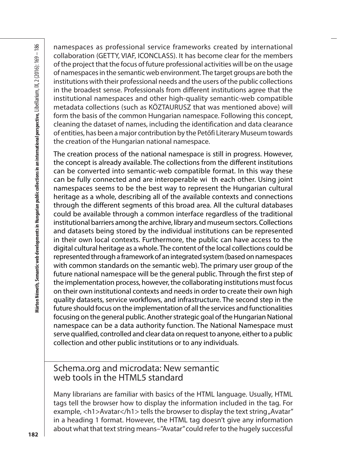namespaces as professional service frameworks created by international collaboration (GETTY, VIAF, ICONCLASS). It has become clear for the members of the project that the focus of future professional activities will be on the usage of namespaces in the semantic web environment. The target groups are both the institutions with their professional needs and the users of the public collections in the broadest sense. Professionals from different institutions agree that the institutional namespaces and other high-quality semantic-web compatible metadata collections (such as KÖZTAURUSZ that was mentioned above) will form the basis of the common Hungarian namespace. Following this concept, cleaning the dataset of names, including the identification and data clearance of entities, has been a major contribution by the Petőfi Literary Museum towards the creation of the Hungarian national namespace.

s collaboration (EFITN; VMA, ICONCLASS). It has become telear for the members<br>
sollaboration (EFITN; VMA, ICONCLASS). It has become clear for the members<br>
of the propercular the focus of future professional scittivity wil The creation process of the national namespace is still in progress. However, the concept is already available. The collections from the different institutions can be converted into semantic-web compatible format. In this way these can be fully connected and are interoperable wi th each other. Using joint namespaces seems to be the best way to represent the Hungarian cultural heritage as a whole, describing all of the available contexts and connections through the different segments of this broad area. All the cultural databases could be available through a common interface regardless of the traditional institutional barriers among the archive, library and museum sectors. Collections and datasets being stored by the individual institutions can be represented in their own local contexts. Furthermore, the public can have access to the digital cultural heritage as a whole. The content of the local collections could be represented through a framework of an integrated system (based on namespaces with common standards on the semantic web). The primary user group of the future national namespace will be the general public. Through the first step of the implementation process, however, the collaborating institutions must focus on their own institutional contexts and needs in order to create their own high quality datasets, service workflows, and infrastructure. The second step in the future should focus on the implementation of all the services and functionalities focusing on the general public. Another strategic goal of the Hungarian National namespace can be a data authority function. The National Namespace must serve qualified, controlled and clear data on request to anyone, either to a public collection and other public institutions or to any individuals.

### Schema.org and microdata: New semantic web tools in the HTML5 standard

Many librarians are familiar with basics of the HTML language. Usually, HTML tags tell the browser how to display the information included in the tag. For example, <h1>Avatar</h1> tells the browser to display the text string "Avatar" in a heading 1 format. However, the HTML tag doesn't give any information about what that text string means–"Avatar" could refer to the hugely successful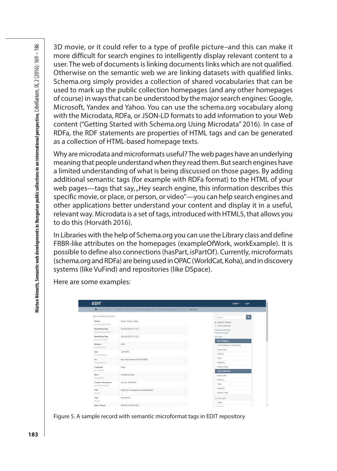Marton Németh, Semantic web developments in Hungarian public collections in an international perspective, Libellarium, IX, 2 (2016): 169 – 186 **183Márton Németh, Semantic web developments in Hungarian public collections in an international perspective,** Libellarium, IX, 2 (2016): 169 – 186

3D movie, or it could refer to a type of profile picture–and this can make it more difficult for search engines to intelligently display relevant content to a user. The web of documents is linking documents links which are not qualified. Otherwise on the semantic web we are linking datasets with qualified links. Schema.org simply provides a collection of shared vocabularies that can be used to mark up the public collection homepages (and any other homepages of course) in ways that can be understood by the major search engines: Google, Microsoft, Yandex and Yahoo. You can use the schema.org vocabulary along with the Microdata, RDFa, or JSON-LD formats to add information to your Web content ("Getting Started with Schema.org Using Microdata" 2016). In case of RDFa, the RDF statements are properties of HTML tags and can be generated as a collection of HTML-based homepage texts.

Why are microdata and microformats useful? The web pages have an underlying meaning that people understand when they read them. But search engines have a limited understanding of what is being discussed on those pages. By adding additional semantic tags (for example with RDFa format) to the HTML of your web pages—tags that say, Hey search engine, this information describes this specific movie, or place, or person, or video"—you can help search engines and other applications better understand your content and display it in a useful, relevant way. Microdata is a set of tags, introduced with HTML5, that allows you to do this (Horváth 2016).

In Libraries with the help of Schema.org you can use the Library class and define FRBR-like attributes on the homepages (exampleOfWork, workExample). It is possible to define also connections (hasPart, isPartOf). Currently, microformats (schema.org and RDFa) are being used in OPAC (WorldCat, Koha), and in discovery systems (like VuFind) and repositories (like DSpace).

Here are some examples:

|                                                 | ↑ DSpace Home / Publikációk / MTMT Tudományos publikációk / Tudományos publikációk (BTK) / View Item |                                            |
|-------------------------------------------------|------------------------------------------------------------------------------------------------------|--------------------------------------------|
| Show simple item record                         |                                                                                                      | $\alpha$<br>Search                         |
| Author<br>dc.contributor.author                 | Havas, Ferenc Zoltán                                                                                 | Search DSpace<br><b>E</b> This Collection  |
| <b>Availability Date</b><br>dc.date.accessioned | 2016-03-22T07:15:51Z                                                                                 | Advanced Search<br>Search by topic         |
| Availability Date<br>dc.date.available          | 2016-03-22T07:15:51Z                                                                                 | <b>BROWSE</b>                              |
| Release<br>dc.date.issued                       | 2004                                                                                                 | All of DSpace<br>Communities & Collections |
| Issn<br>dc.identifier.issn                      | 1216-8076                                                                                            | <b>Issue Date</b><br>Authors               |
| uri<br>dc.identifier.uri                        | http://hdl.handle.net/10831/30039                                                                    | Titles<br>Subjects                         |
| Language<br>dc.language                         | Angol                                                                                                | Submit Date<br><b>This Collection</b>      |
| Rent<br>dc.publisher                            | Akadémiai Kiadó                                                                                      | Issue Date                                 |
| Contact information<br>dc.relation.ispartof     | um:issn: 1216-8076                                                                                   | Authors<br>Titles                          |
| Title<br>dc.title                               | Objective Conjugation and Medialisation                                                              | Subjects<br>Submit Date                    |
| Type<br>dc.type                                 | folyóiratcikk                                                                                        | MY ACCOUNT                                 |

Figure 5. A sample record with semantic microformat tags in EDIT repository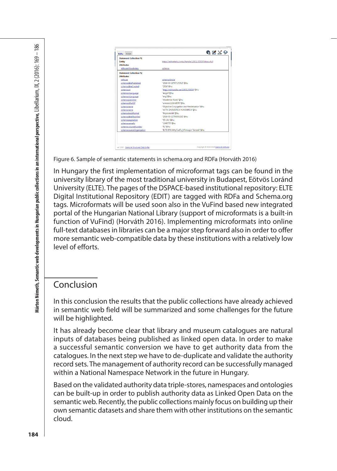| <b>Statement Collection #1</b> |                                                         |
|--------------------------------|---------------------------------------------------------|
| Entity                         | https://edit.elte.hu/xmlui/handle/10831/30039?show=full |
| <b>Attributes</b>              |                                                         |
| rdfa:usesVocabulary            | schema:                                                 |
| <b>Statement Collection #2</b> |                                                         |
| <b>Attributes</b>              |                                                         |
| rdf.tvpe                       | schema:Article                                          |
| schema:datePublished           | *2016-03-22T07-15-517*@bu                               |
| schema:dateCreated             | *2004*@hu                                               |
| schematuri                     | http://hdl.handle.net/10831/30039"@hu                   |
| schemarinLanguage              | "Angol"@hu                                              |
| schema:inLanguage              | "eng"@hu                                                |
| schema:publisher               | "Akadémiai Kiadó"@hu                                    |
| schematisPartOf                | "urnissn:1216-8076"@hu                                  |
| schemarname                    | "Objective Conjugation and Medialisation"@hu            |
| schemarname                    | "ACTA LINGUISTICA HUNGARICA"@hu                         |
| schema:bookFormat              | "folyóiratcikk"@hu                                      |
| schema:dateModified            | *2016-03-21T08-50:237*@hu                               |
| schemarpagination              | 195-1411@hu                                             |
| schema:sameAs                  | *1340775*@hu                                            |
| schema:volumeNumber            | 1511@hu                                                 |
| schema:sourceOrganization      | "ELTE/BTK/MNyTudFu_I/Finnugor Tanszék"@hu               |

Figure 6. Sample of semantic statements in schema.org and RDFa (Horváth 2016)

 $\frac{1}{2}$ <br>  $\frac{1}{2}$ <br>  $\frac{1}{2}$ <br>  $\frac{1}{2}$ <br>  $\frac{1}{2}$ <br>  $\frac{1}{2}$ <br>  $\frac{1}{2}$ <br>  $\frac{1}{2}$ <br>  $\frac{1}{2}$ <br>  $\frac{1}{2}$ <br>  $\frac{1}{2}$ <br>  $\frac{1}{2}$ <br> **Figure 6.** Simple of sensure disternation is selection of intereformal tages can be fo In Hungary the first implementation of microformat tags can be found in the university library of the most traditional university in Budapest, Eötvös Loránd University (ELTE). The pages of the DSPACE-based institutional repository: ELTE Digital Institutional Repository (EDIT) are tagged with RDFa and Schema.org tags. Microformats will be used soon also in the VuFind based new integrated portal of the Hungarian National Library (support of microformats is a built-in function of VuFind) (Horváth 2016). Implementing microformats into online full-text databases in libraries can be a major step forward also in order to offer more semantic web-compatible data by these institutions with a relatively low level of efforts.

## Conclusion

In this conclusion the results that the public collections have already achieved in semantic web field will be summarized and some challenges for the future will be highlighted.

It has already become clear that library and museum catalogues are natural inputs of databases being published as linked open data. In order to make a successful semantic conversion we have to get authority data from the catalogues. In the next step we have to de-duplicate and validate the authority record sets. The management of authority record can be successfully managed within a National Namespace Network in the future in Hungary.

Based on the validated authority data triple-stores, namespaces and ontologies can be built-up in order to publish authority data as Linked Open Data on the semantic web. Recently, the public collections mainly focus on building up their own semantic datasets and share them with other institutions on the semantic cloud.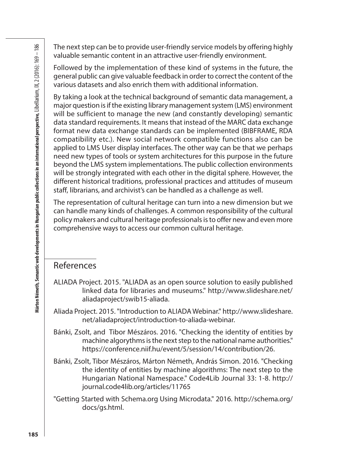The next step can be to provide user-friendly service models by offering highly valuable semantic content in an attractive user-friendly environment.

Followed by the implementation of these kind of systems in the future, the general public can give valuable feedback in order to correct the content of the various datasets and also enrich them with additional information.

By taking a look at the technical background of semantic data management, a major question is if the existing library management system (LMS) environment will be sufficient to manage the new (and constantly developing) semantic data standard requirements. It means that instead of the MARC data exchange format new data exchange standards can be implemented (BIBFRAME, RDA compatibility etc.). New social network compatible functions also can be applied to LMS User display interfaces. The other way can be that we perhaps need new types of tools or system architectures for this purpose in the future beyond the LMS system implementations. The public collection environments will be strongly integrated with each other in the digital sphere. However, the different historical traditions, professional practices and attitudes of museum staff, librarians, and archivist's can be handled as a challenge as well.

The representation of cultural heritage can turn into a new dimension but we can handle many kinds of challenges. A common responsibility of the cultural policy makers and cultural heritage professionals is to offer new and even more comprehensive ways to access our common cultural heritage.

#### References

- ALIADA Project. 2015. "ALIADA as an open source solution to easily published linked data for libraries and museums." http://www.slideshare.net/ aliadaproject/swib15-aliada.
- Aliada Project. 2015. "Introduction to ALIADA Webinar." http://www.slideshare. net/aliadaproject/introduction-to-aliada-webinar.
- Bánki, Zsolt, and Tibor Mészáros. 2016. "Checking the identity of entities by machine algorythms is the next step to the national name authorities." https://conference.niif.hu/event/5/session/14/contribution/26.
- Bánki, Zsolt, Tibor Mészáros, Márton Németh, András Simon. 2016. "Checking the identity of entities by machine algorithms: The next step to the Hungarian National Namespace." Code4Lib Journal 33: 1-8. http:// journal.code4lib.org/articles/11765
- "Getting Started with Schema.org Using Microdata." 2016. http://schema.org/ docs/gs.html.